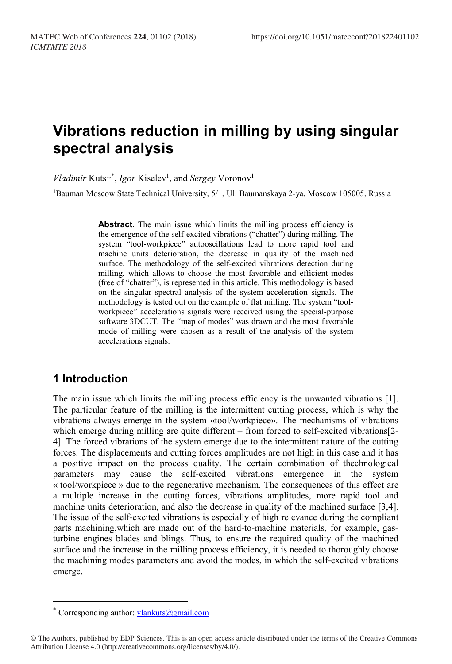# **Vibrations reduction in milling by using singular spectral analysis**

*Vladimir* Kuts<sup>1,[\\*](#page-0-0)</sup>, *Igor* Kiselev<sup>1</sup>, and *Sergey* Voronov<sup>1</sup>

1Bauman Moscow State Technical University, 5/1, Ul. Baumanskaya 2-ya, Moscow 105005, Russia

Abstract. The main issue which limits the milling process efficiency is the emergence of the self-excited vibrations ("chatter") during milling. The system "tool-workpiece" autooscillations lead to more rapid tool and machine units deterioration, the decrease in quality of the machined surface. The methodology of the self-excited vibrations detection during milling, which allows to choose the most favorable and efficient modes (free of "chatter"), is represented in this article. This methodology is based on the singular spectral analysis of the system acceleration signals. The methodology is tested out on the example of flat milling. The system "toolworkpiece" accelerations signals were received using the special-purpose software 3DCUT. The "map of modes" was drawn and the most favorable mode of milling were chosen as a result of the analysis of the system accelerations signals.

# **1 Introduction**

The main issue which limits the milling process efficiency is the unwanted vibrations [1]. The particular feature of the milling is the intermittent cutting process, which is why the vibrations always emerge in the system «tool/workpiece». The mechanisms of vibrations which emerge during milling are quite different – from forced to self-excited vibrations[2-4]. The forced vibrations of the system emerge due to the intermittent nature of the cutting forces. The displacements and cutting forces amplitudes are not high in this case and it has a positive impact on the process quality. The certain combination of thechnological parameters may cause the self-excited vibrations emergence in the system « tool/workpiece » due to the regenerative mechanism. The consequences of this effect are a multiple increase in the cutting forces, vibrations amplitudes, more rapid tool and machine units deterioration, and also the decrease in quality of the machined surface [3,4]. The issue of the self-excited vibrations is especially of high relevance during the compliant parts machining,which are made out of the hard-to-machine materials, for example, gasturbine engines blades and blings. Thus, to ensure the required quality of the machined surface and the increase in the milling process efficiency, it is needed to thoroughly choose the machining modes parameters and avoid the modes, in which the self-excited vibrations emerge.

 $\overline{a}$ 

<span id="page-0-0"></span>Corresponding author:  $vlankuts@gmail.com$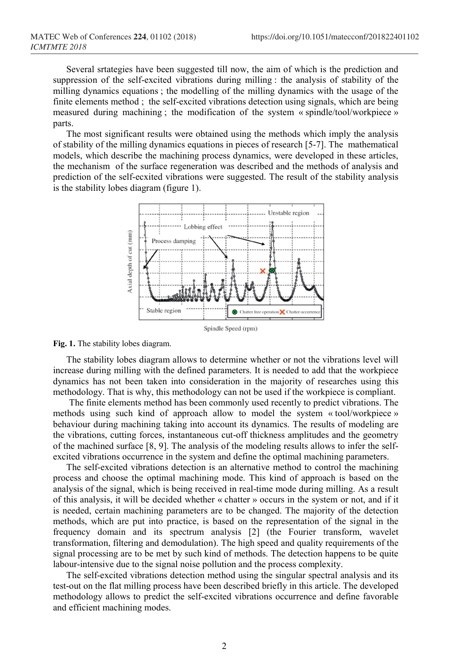Several srtategies have been suggested till now, the aim of which is the prediction and suppression of the self-excited vibrations during milling : the analysis of stability of the milling dynamics equations ; the modelling of the milling dynamics with the usage of the finite elements method ; the self-excited vibrations detection using signals, which are being measured during machining ; the modification of the system « spindle/tool/workpiece » parts.

The most significant results were obtained using the methods which imply the analysis of stability of the milling dynamics equations in pieces of research [5-7]. The mathematical models, which describe the machining process dynamics, were developed in these articles, the mechanism of the surface regeneration was described and the methods of analysis and prediction of the self-ecxited vibrations were suggested. The result of the stability analysis is the stability lobes diagram (figure 1).



**Fig. 1.** The stability lobes diagram.

The stability lobes diagram allows to determine whether or not the vibrations level will increase during milling with the defined parameters. It is needed to add that the workpiece dynamics has not been taken into consideration in the majority of researches using this methodology. That is why, this methodology can not be used if the workpiece is compliant.

The finite elements method has been commonly used recently to predict vibrations. The methods using such kind of approach allow to model the system « tool/workpiece » behaviour during machining taking into account its dynamics. The results of modeling are the vibrations, cutting forces, instantaneous cut-off thickness amplitudes and the geometry of the machined surface [8, 9]. The analysis of the modeling results allows to infer the selfexcited vibrations occurrence in the system and define the optimal machining parameters.

The self-excited vibrations detection is an alternative method to control the machining process and choose the optimal machining mode. This kind of approach is based on the analysis of the signal, which is being received in real-time mode during milling. As a result of this analysis, it will be decided whether « chatter » occurs in the system or not, and if it is needed, certain machining parameters are to be changed. The majority of the detection methods, which are put into practice, is based on the representation of the signal in the frequency domain and its spectrum analysis [2] (the Fourier transform, wavelet transformation, filtering and demodulation). The high speed and quality requirements of the signal processing are to be met by such kind of methods. The detection happens to be quite labour-intensive due to the signal noise pollution and the process complexity.

The self-excited vibrations detection method using the singular spectral analysis and its test-out on the flat milling process have been described briefly in this article. The developed methodology allows to predict the self-excited vibrations occurrence and define favorable and efficient machining modes.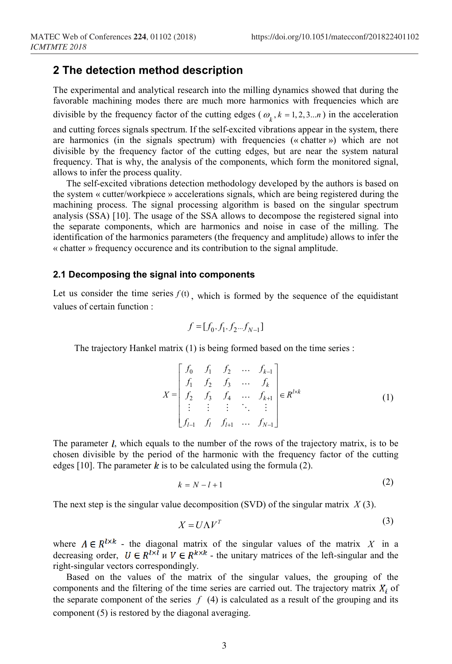## **2 The detection method description**

The experimental and analytical research into the milling dynamics showed that during the favorable machining modes there are much more harmonics with frequencies which are divisible by the frequency factor of the cutting edges ( $\omega_k$ ,  $k = 1, 2, 3...n$ ) in the acceleration

and cutting forces signals spectrum. If the self-excited vibrations appear in the system, there are harmonics (in the signals spectrum) with frequencies (« chatter ») which are not divisible by the frequency factor of the cutting edges, but are near the system natural frequency. That is why, the analysis of the components, which form the monitored signal, allows to infer the process quality.

The self-excited vibrations detection methodology developed by the authors is based on the system « cutter/workpiece » accelerations signals, which are being registered during the machining process. The signal processing algorithm is based on the singular spectrum analysis (SSA) [10]. The usage of the SSA allows to decompose the registered signal into the separate components, which are harmonics and noise in case of the milling. The identification of the harmonics parameters (the frequency and amplitude) allows to infer the « chatter » frequency occurence and its contribution to the signal amplitude.

#### **2.1 Decomposing the signal into components**

Let us consider the time series  $f(t)$ , which is formed by the sequence of the equidistant values of certain function :

$$
f = [f_0, f_1, f_2...f_{N-1}]
$$

The trajectory Hankel matrix (1) is being formed based on the time series :

$$
X = \begin{bmatrix} f_0 & f_1 & f_2 & \dots & f_{k-1} \\ f_1 & f_2 & f_3 & \dots & f_k \\ f_2 & f_3 & f_4 & \dots & f_{k+1} \\ \vdots & \vdots & \vdots & \ddots & \vdots \\ f_{l-1} & f_l & f_{l+1} & \dots & f_{N-1} \end{bmatrix} \in R^{l \times k}
$$
 (1)

The parameter  $l$ , which equals to the number of the rows of the trajectory matrix, is to be chosen divisible by the period of the harmonic with the frequency factor of the cutting edges [10]. The parameter  $\boldsymbol{k}$  is to be calculated using the formula (2).

$$
k = N - l + 1 \tag{2}
$$

The next step is the singular value decomposition (SVD) of the singular matrix *X* (3).

$$
X = U\Lambda V^T \tag{3}
$$

where  $\Lambda \in \mathbb{R}^{l \times k}$  - the diagonal matrix of the singular values of the matrix X in a decreasing order,  $U \in R^{1 \times l}$  is  $V \in R^{k \times k}$  - the unitary matrices of the left-singular and the right-singular vectors correspondingly.

Based on the values of the matrix of the singular values, the grouping of the components and the filtering of the time series are carried out. The trajectory matrix  $X_i$  of the separate component of the series  $f(4)$  is calculated as a result of the grouping and its component (5) is restored by the diagonal averaging.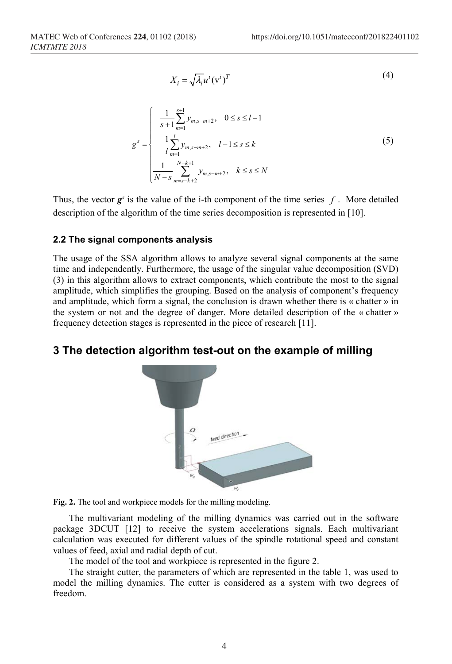$$
X_i = \sqrt{\lambda_i} u^i (\mathbf{v}^i)^T
$$
 (4)

$$
g^{s} = \begin{cases} \frac{1}{s+1} \sum_{m=1}^{s+1} y_{m,s-m+2}, & 0 \le s \le l-1\\ \frac{1}{l} \sum_{m=1}^{l} y_{m,s-m+2}, & l-1 \le s \le k\\ \frac{1}{N-s} \sum_{m=s-k+2}^{N-k+1} y_{m,s-m+2}, & k \le s \le N \end{cases}
$$
(5)

Thus, the vector  $g^s$  is the value of the i-th component of the time series  $f$ . More detailed description of the algorithm of the time series decomposition is represented in [10].

#### **2.2 The signal components analysis**

The usage of the SSA algorithm allows to analyze several signal components at the same time and independently. Furthermore, the usage of the singular value decomposition (SVD) (3) in this algorithm allows to extract components, which contribute the most to the signal amplitude, which simplifies the grouping. Based on the analysis of component's frequency and amplitude, which form a signal, the conclusion is drawn whether there is « chatter » in the system or not and the degree of danger. More detailed description of the « chatter » frequency detection stages is represented in the piece of research [11].

# **3 The detection algorithm test-out on the example of milling**



**Fig. 2.** The tool and workpiece models for the milling modeling.

The multivariant modeling of the milling dynamics was carried out in the software package 3DCUT [12] to receive the system accelerations signals. Each multivariant calculation was executed for different values of the spindle rotational speed and constant values of feed, axial and radial depth of cut.

The model of the tool and workpiece is represented in the figure 2.

The straight cutter, the parameters of which are represented in the table 1, was used to model the milling dynamics. The cutter is considered as a system with two degrees of freedom.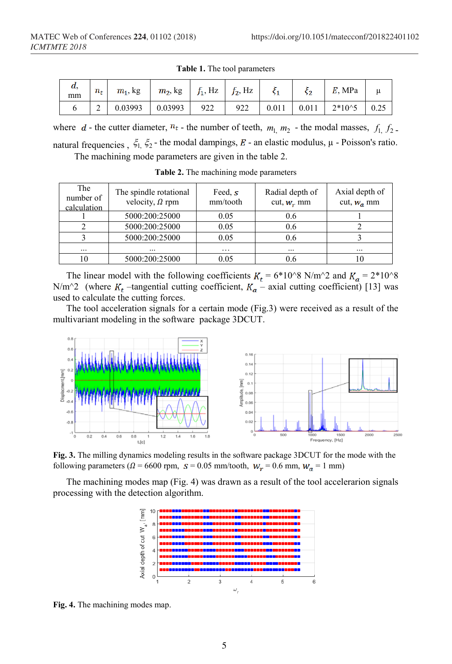| а,<br>mm | $n_{t}$ | $m_1$ , kg | $m_2$ , kg $f_1$ , Hz $f_2$ , Hz |     |     |       | ς2    | $E$ , MPa  | u |
|----------|---------|------------|----------------------------------|-----|-----|-------|-------|------------|---|
|          | ∽       | 0.03993    | 0.03993                          | 922 | 922 | 0.011 | 0.011 | $2*10^{5}$ |   |

**Table 1.** The tool parameters

where  $d$  - the cutter diameter,  $n_t$  - the number of teeth,  $m_1, m_2$  - the modal masses,  $f_1, f_2$ . natural frequencies,  $\zeta_1$ ,  $\zeta_2$  - the modal dampings, E - an elastic modulus,  $\mu$  - Poisson's ratio. The machining mode parameters are given in the table 2.

| The<br>number of<br>calculation | The spindle rotational<br>velocity, $\Omega$ rpm | Feed, $s$<br>mm/tooth | Radial depth of<br>cut, $W_r$ mm | Axial depth of<br>cut, $W_a$ mm |
|---------------------------------|--------------------------------------------------|-----------------------|----------------------------------|---------------------------------|
|                                 | 5000:200:25000                                   | 0.05                  | 0.6                              |                                 |
|                                 | 5000:200:25000                                   | 0.05                  | 0.6                              |                                 |
|                                 | 5000:200:25000                                   | 0.05                  | 0.6                              |                                 |
| $\cdots$                        | $\cdots$                                         | $\cdots$              | $\cdots$                         | $\cdots$                        |
|                                 | 5000:200:25000                                   | 0.05                  | 0.6                              |                                 |

**Table 2.** The machining mode parameters

The linear model with the following coefficients  $K_t = 6*10^8$  N/m<sup>2</sup> and  $K_a = 2*10^8$ N/m<sup> $\hat{ }$ </sup> (where  $K_t$  –tangential cutting coefficient,  $K_a$  – axial cutting coefficient) [13] was used to calculate the cutting forces.

The tool acceleration signals for a certain mode (Fig.3) were received as a result of the multivariant modeling in the software package 3DCUT.



**Fig. 3.** The milling dynamics modeling results in the software package 3DCUT for the mode with the following parameters ( $\Omega = 6600$  rpm,  $s = 0.05$  mm/tooth,  $W_r = 0.6$  mm,  $W_a = 1$  mm)

The machining modes map (Fig. 4) was drawn as a result of the tool accelerarion signals processing with the detection algorithm.



**Fig. 4.** The machining modes map.